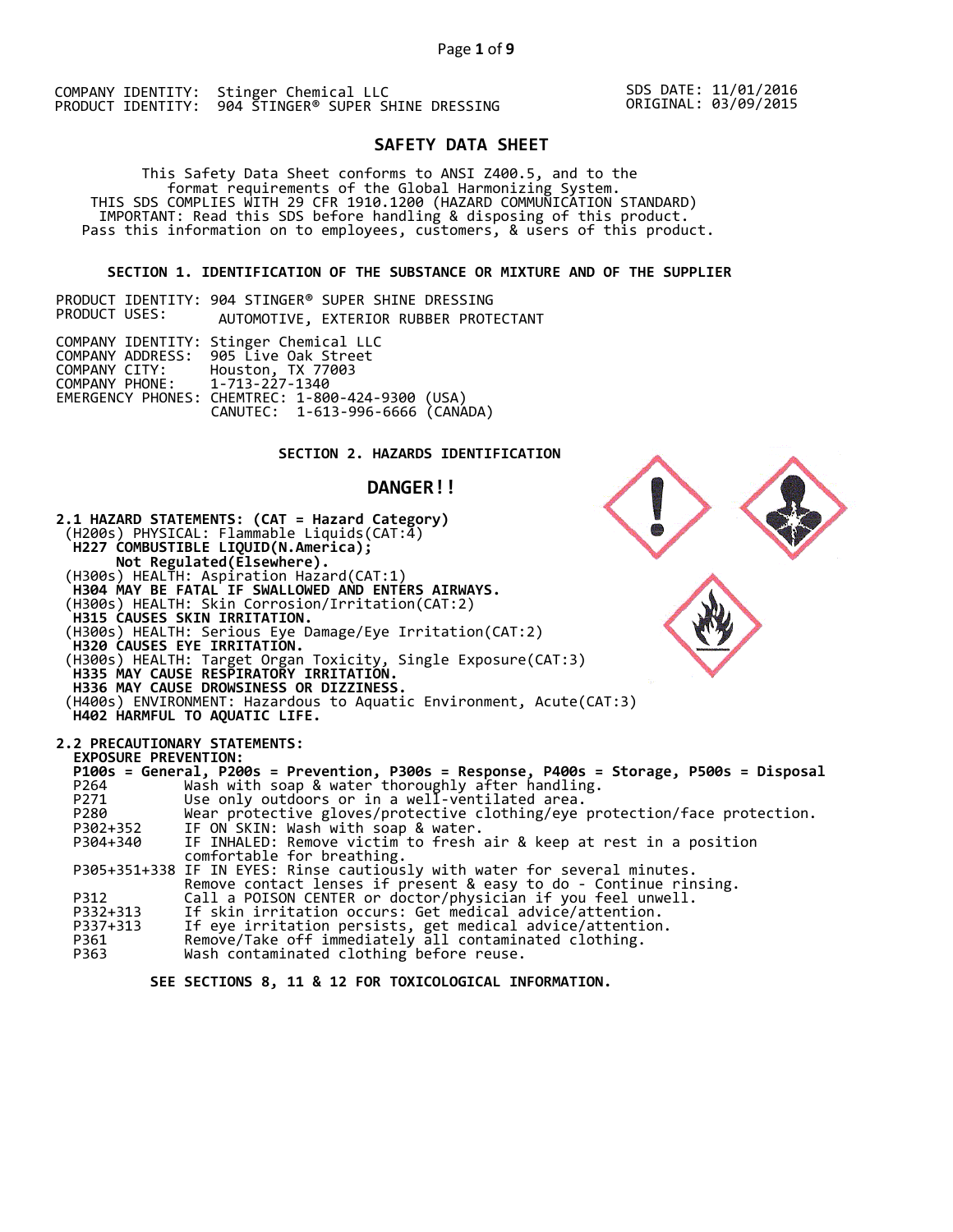SDS DATE: 11/01/2016 ORIGINAL: 03/09/2015

# **SAFETY DATA SHEET**

This Safety Data Sheet conforms to ANSI Z400.5, and to the<br>format requirements of the Global Harmonizing System.<br>THIS SDS COMPLIES WITH 29 CFR 1910.1200 (HAZARD COMMUNICATION STANDARD)<br>IMPORTANT: Read this SDS before handl

# **SECTION 1. IDENTIFICATION OF THE SUBSTANCE OR MIXTURE AND OF THE SUPPLIER**

|               |  | PRODUCT IDENTITY: 904 STINGER® SUPER SHINE DRESSING |
|---------------|--|-----------------------------------------------------|
| PRODUCT USES: |  | AUTOMOTIVE, EXTERIOR RUBBER PROTECTANT              |

|                               | COMPANY IDENTITY: Stinger Chemical LLC<br>COMPANY ADDRESS: 905 Live Oak Street |  |
|-------------------------------|--------------------------------------------------------------------------------|--|
|                               | COMPANY CITY: Houston, TX 77003                                                |  |
| COMPANY PHONE: 1-713-227-1340 |                                                                                |  |
|                               | EMERGENCY PHONES: CHEMTREC: 1-800-424-9300 (USA)                               |  |
|                               | CANUTEC: 1-613-996-6666 (CANADA)                                               |  |

# **SECTION 2. HAZARDS IDENTIFICATION**

# **DANGER!!**



 **SEE SECTIONS 8, 11 & 12 FOR TOXICOLOGICAL INFORMATION.**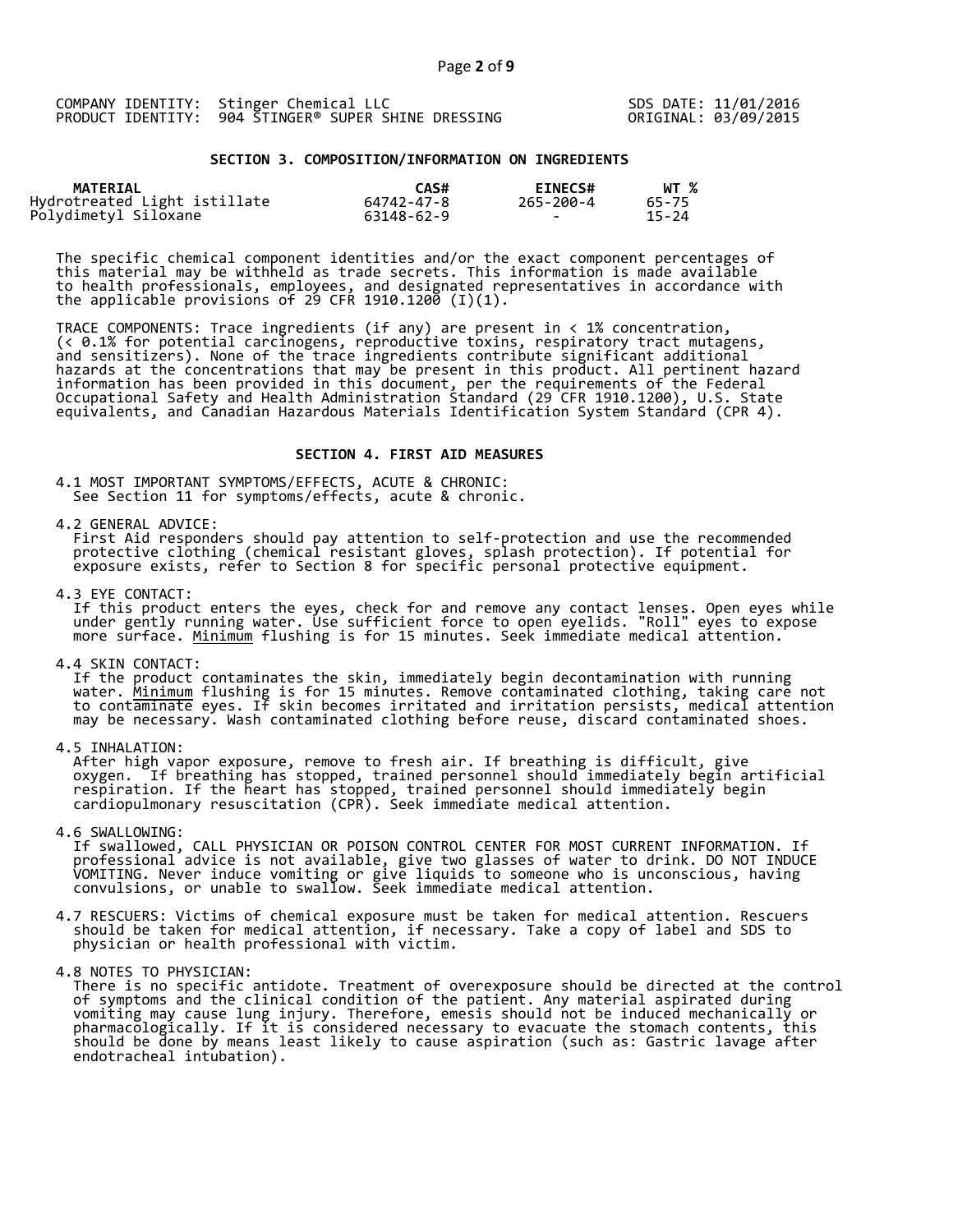|  | COMPANY IDENTITY: Stinger Chemical LLC              |
|--|-----------------------------------------------------|
|  | PRODUCT IDENTITY: 904 STINGER® SUPER SHINE DRESSING |

SDS DATE: 11/01/2016 ORIGINAL: 03/09/2015

# **SECTION 3. COMPOSITION/INFORMATION ON INGREDIENTS**

| <b>MATERIAL</b>                                      | CAS#       | <b>EINECS#</b> | WT %      |
|------------------------------------------------------|------------|----------------|-----------|
| Hydrotreated Light istillate<br>Polydimetyl Siloxane | 64742-47-8 | 265-200-4      | 65-75     |
|                                                      | 63148-62-9 | $\sim$         | $15 - 24$ |

The specific chemical component identities and/or the exact component percentages of this material may be withheld as trade secrets. This information is made available to health professionals, employees, and designated representatives in accordance with the applicable provisions of 29 CFR 1910.1200  $(1)(1).$ 

TRACE COMPONENTS: Trace ingredients (if any) are present in < 1% concentration, (< 0.1% for potential carcinogens, reproductive toxins, respiratory tract mutagens, and sensitizers). None of the trace ingredients contribute significant additional hazards at the concentrations that may be present in this product. All pertinent hazard information has been provided in this document, per the requirements of the Federal Occupational Safety and Health Administration Standard (29 CFR 1910.1200), U.S. State equivalents, and Canadian Hazardous Materials Identification System Standard (CPR 4).

#### **SECTION 4. FIRST AID MEASURES**

4.1 MOST IMPORTANT SYMPTOMS/EFFECTS, ACUTE & CHRONIC: See Section 11 for symptoms/effects, acute & chronic.

4.2 GENERAL ADVICE:<br>First Aid responders should pay attention to self-protection and use the recommended protective clothing (chemical resistant gloves, splash protection). If potential for<br>exposure exists, refer to Section 8 for specific personal protective equipment.

4.3 EYE CONTACT:<br>If this product enters the eyes, check for and remove any contact lenses. Open eyes while<br>under gently running water. Use sufficient force to open eyelids. "Roll" eyes to expose<br>more surface. <u>Minimum</u> flu

4.4 SKIN CONTACT:<br>If the product contaminates the skin, immediately begin decontamination with running<br>water. <u>Minimum</u> flushing is for 15 minutes. Remove contaminated clothing, taking care not<br>to contaminate eyes. If skin

4.5 INHALATION:<br>After high vapor exposure, remove to fresh air. If breathing is difficult, give<br>oxygen. If breathing has stopped, trained personnel should immediately begin artificial<br>respiration. If the heart has stopped,

4.6 SWALLOWING:<br>If swallowed, CALL PHYSICIAN OR POISON CONTROL CENTER FOR MOST CURRENT INFORMATION. If<br>professional advice is not available, give two glasses of water to drink. DO NOT INDUCE<br>VOMITING. Never induce vomiting

4.7 RESCUERS: Victims of chemical exposure must be taken for medical attention. Rescuers should be taken for medical attention, if necessary. Take a copy of label and SDS to physician or health professional with victim.

4.8 NOTES TO PHYSICIAN:<br>There is no specific antidote. Treatment of overexposure should be directed at the control<br>of symptoms and the clinical condition of the patient. Any material aspirated during<br>vomiting may cause lun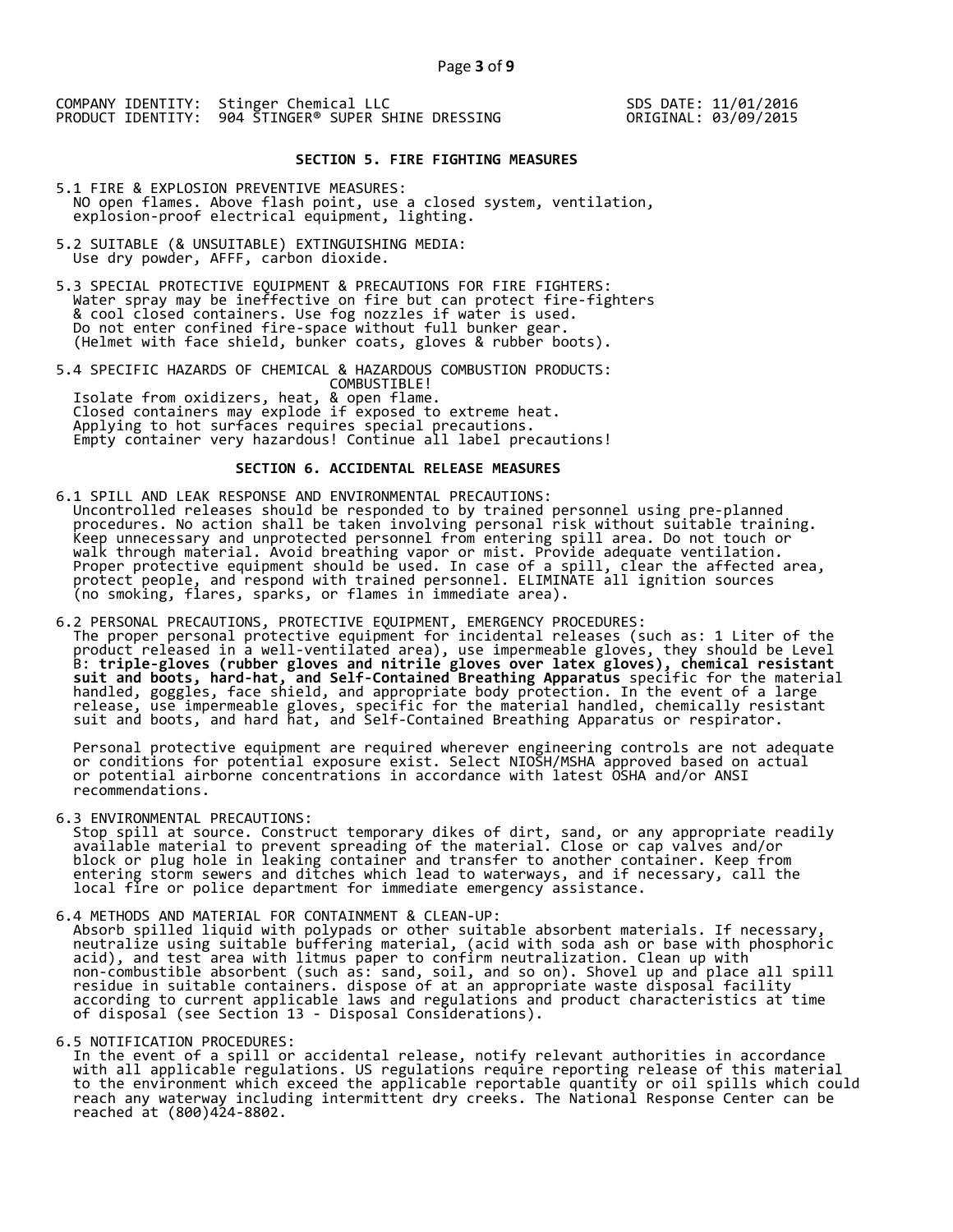SDS DATE: 11/01/2016 ORIGINAL: 03/09/2015

# **SECTION 5. FIRE FIGHTING MEASURES**

- 5.1 FIRE & EXPLOSION PREVENTIVE MEASURES: NO open flames. Above flash point, use a closed system, ventilation, explosion-proof electrical equipment, lighting.
- 5.2 SUITABLE (& UNSUITABLE) EXTINGUISHING MEDIA: Use dry powder, AFFF, carbon dioxide.
- 5.3 SPECIAL PROTECTIVE EQUIPMENT & PRECAUTIONS FOR FIRE FIGHTERS:<br>Water spray may be ineffective on fire but can protect fire-fighters<br>& cool closed containers. Use fog nozzles if water is used.<br>Do not enter confined fire-
- 5.4 SPECIFIC HAZARDS OF CHEMICAL & HAZARDOUS COMBUSTION PRODUCTS:<br>
COMBUSTIBLE!<br>
Isolate from oxidizers, heat, & open flame.<br>
Closed containers may explode if exposed to extreme heat.<br>
Applying to hot surfaces requires spe

# **SECTION 6. ACCIDENTAL RELEASE MEASURES**

- 6.1 SPILL AND LEAK RESPONSE AND ENVIRONMENTAL PRECAUTIONS:<br>Uncontrolled releases should be responded to by trained personnel using pre-planned<br>procedures. No action shall be taken involving personal risk without suitable t
- 6.2 PERSONAL PRECAUTIONS, PROTECTIVE EQUIPMENT, EMERGENCY PROCEDURES:<br>The proper personal protective equipment for incidental releases (such as: 1 Liter of the<br>product released in a well-ventilated area), use impermeable g

Personal protective equipment are required wherever engineering controls are not adequate<br>or conditions for potential exposure exist. Select NIOSH/MSHA approved based on actual<br>or potential airborne concentrations in accor

6.3 ENVIRONMENTAL PRECAUTIONS:<br>Stop spill at source. Construct temporary dikes of dirt, sand, or any appropriate readily<br>available material to prevent spreading of the material. Close or cap valves and/or<br>block or plug hol

- 
- 6.4 METHODS AND MATERIAL FOR CONTAINMENT & CLEAN-UP:<br>Absorb spilled liquid with polypads or other suitable absorbent materials. If necessary,<br>neutralize using suitable buffering material, (acid with soda ash or base with p
- 

6.5 NOTIFICATION PROCEDURES:<br>In the event of a spill or accidental release, notify relevant authorities in accordance with all applicable regulations. US regulations require reporting release of this material<br>to the environment which exceed the applicable reportable quantity or oil spills which could<br>reach any waterway including intermitt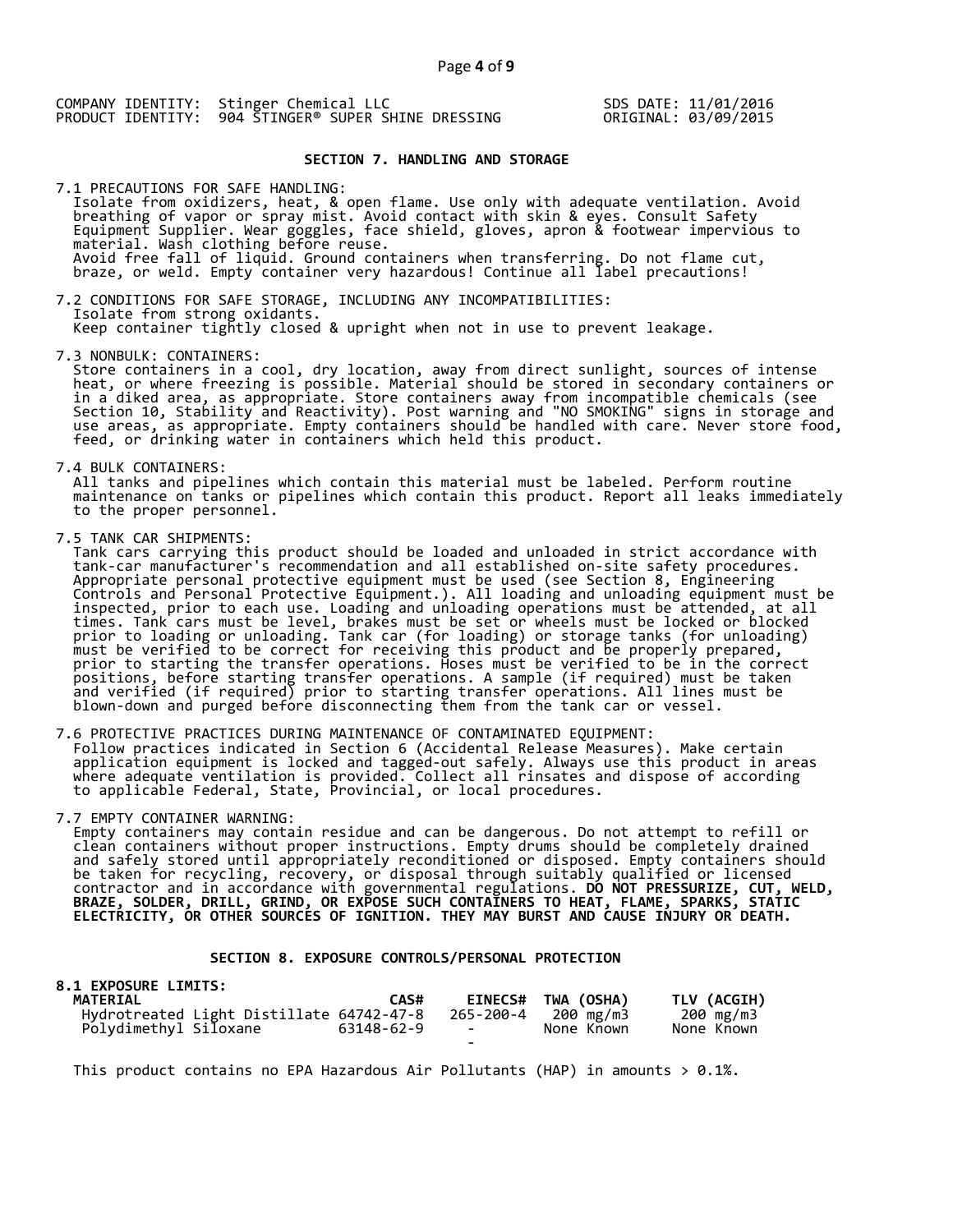SDS DATE: 11/01/2016 ORIGINAL: 03/09/2015

# **SECTION 7. HANDLING AND STORAGE**

7.1 PRECAUTIONS FOR SAFE HANDLING: Isolate from oxidizers, heat, & open flame. Use only with adequate ventilation. Avoid breathing of vapor or spray mist. Avoid contact with skin & eyes. Consult Safety Equipment Supplier. Wear goggles, face shield, gloves, apron & footwear impervious to material. Wash clothing before reuse.<br>Avoid free fall of liquid. Ground containers when transferring. Do not flame cut,<br>braze, or weld. Empty container very hazardous! Continue all label precautions!

7.2 CONDITIONS FOR SAFE STORAGE, INCLUDING ANY INCOMPATIBILITIES:<br>Isolate from strong oxidants.<br>Keep container tightly closed & upright when not in use to prevent leakage.

7.3 NONBULK: CONTAINERS:<br>Store containers in a cool, dry location, away from direct sunlight, sources of intense<br>heat, or where freezing is possible. Material should be stored in secondary containers or in a diked area, as appropriate. Store containers away from incompatible chemicals (see<br>Section 10, Stability and Reactivity). Post warning and "NO SMOKING" signs in storage and<br>use areas, as appropriate. Empty containers

7.4 BULK CONTAINERS:<br>All tanks and pipelines which contain this material must be labeled. Perform routine<br>maintenance on tanks or pipelines which contain this product. Report all leaks immediately<br>to the proper personnel.

7.5 TANK CAR SHIPMENTS:<br>Tank cars carrying this product should be loaded and unloaded in strict accordance with Tank cars carrying this product should be loaded and unloaded in strict accordance with<br>tank-car manufacturer's recommendation and all established on-site safety procedures.<br>Appropriate personal protective equipment must b Controls and Personal Protective Equipment.). All loading and unloading equipment must be<br>inspected, prior to each use. Loading and unloading operations must be attended, at all<br>times. Tank cars must be level, brakes must

7.6 PROTECTIVE PRACTICES DURING MAINTENANCE OF CONTAMINATED EQUIPMENT:<br>Follow practices indicated in Section 6 (Accidental Release Measures). Make certain<br>application equipment is locked and tagged-out safely. Always use t

7.7 EMPTY CONTAINER WARNING:<br>Empty containers may contain residue and can be dangerous. Do not attempt to refill or Empty containers may contain residue and can be uangerous. Bo not attempt to reinin or<br>clean containers without proper instructions. Empty drums should be completely drained<br>and safely stored until appropriately reconditio

 **SECTION 8. EXPOSURE CONTROLS/PERSONAL PROTECTION**

| 8.1 EXPOSURE LIMITS:                     |            |           |                    |             |
|------------------------------------------|------------|-----------|--------------------|-------------|
| <b>MATERIAL</b>                          | CAS#       |           | EINECS# TWA (OSHA) | TLV (ACGIH) |
| Hydrotreated Light Distillate 64742-47-8 |            | 265-200-4 | 200 mg/m3          | 200 mg/m3   |
| Polydimethyl Siloxane                    | 63148-62-9 | $\sim$    | None Known         | None Known  |
|                                          |            | -         |                    |             |

This product contains no EPA Hazardous Air Pollutants (HAP) in amounts  $> 0.1\%$ .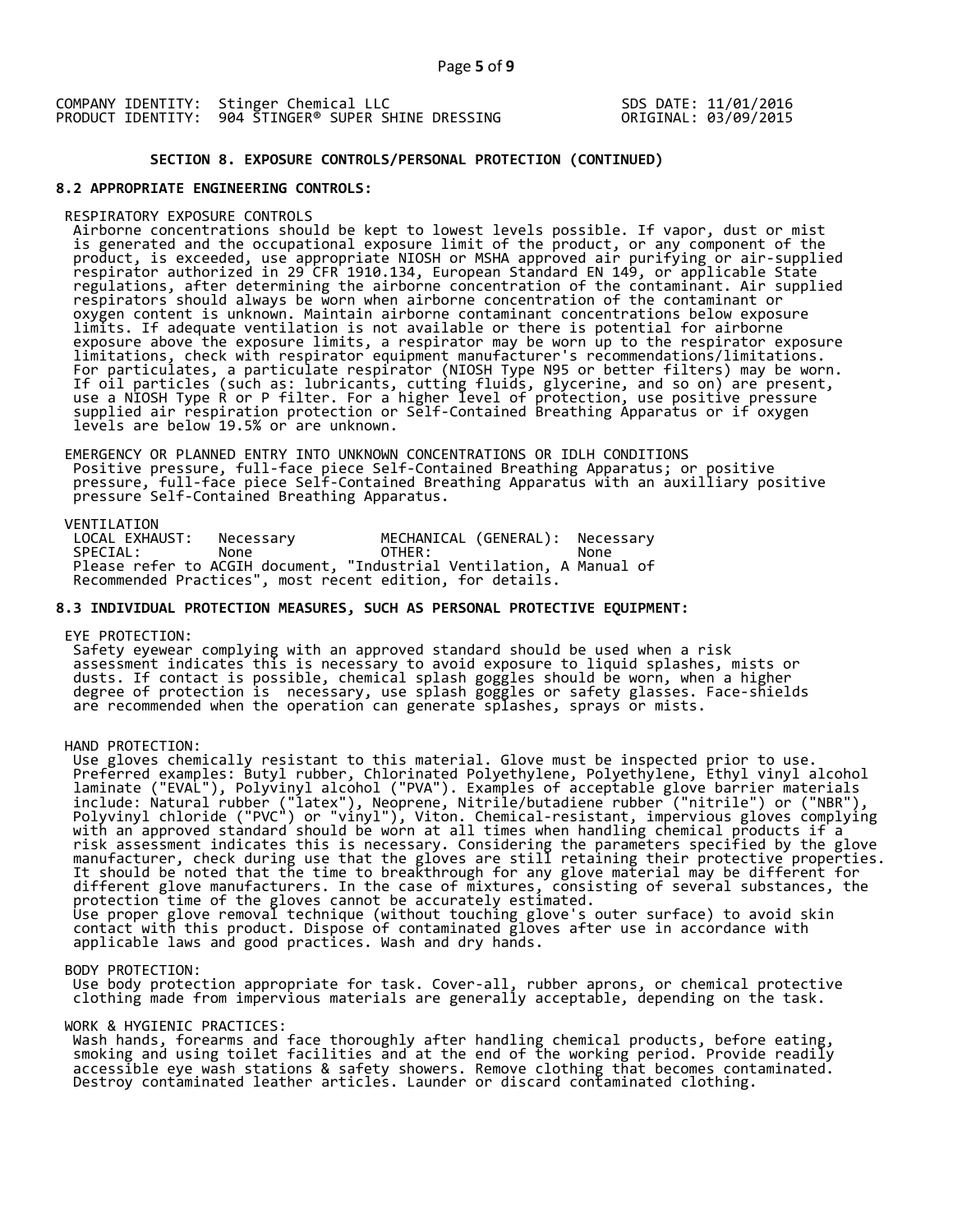COMPANY IDENTITY: Stinger Chemical LLC PRODUCT IDENTITY: 904 STINGER® SUPER SHINE DRESSING SDS DATE: 11/01/2016 ORIGINAL: 03/09/2015

 **SECTION 8. EXPOSURE CONTROLS/PERSONAL PROTECTION (CONTINUED)**

# **8.2 APPROPRIATE ENGINEERING CONTROLS:**

RESPIRATORY EXPOSURE CONTROLS<br>Airborne concentrations should be kept to lowest levels possible. If vapor, dust or mist<br>is generated and the occupational exposure limit of the product, or any component of the<br>product, is ex respirator authorized in 29 CFR 1910.134, European Standard EN 149, or applicable State<br>regulations, after determining the airborne concentration of the contaminant. Air supplied<br>oxygen content is unknown. Maintain airborn

EMERGENCY OR PLANNED ENTRY INTO UNKNOWN CONCENTRATIONS OR IDLH CONDITIONS<br>Positive pressure, full-face piece Self-Contained Breathing Apparatus; or positive<br>pressure, full-face piece Self-Contained Breathing Apparatus with

VENTILATION<br>LOCAL EXHAUST: LOCAL EXHAUST: Necessary MECHANICAL (GENERAL): Necessary SPECIAL: None OTHER: None Please refer to ACGIH document, "Industrial Ventilation, A Manual of Recommended Practices", most recent edition, for details.

# **8.3 INDIVIDUAL PROTECTION MEASURES, SUCH AS PERSONAL PROTECTIVE EQUIPMENT:**

EYE PROTECTION:<br>Safety eyewear complying with an approved standard should be used when a risk Safety eyewear complying with an approved standard should be used when a risk<br>assessment indicates this is necessary to avoid exposure to liquid splashes, mists or<br>dusts. If contact is possible, chemical splash goggles sho are recommended when the operation can generate splashes, sprays or mists.

#### HAND PROTECTION:

HAND PROTECTION:<br>
Use gloves chemically resistant to this material. Glove must be inspected prior to use.<br>
Use gloves chemically resistant to this material. Glove must be inspected prior to use.<br>
Preferred examples: Butyl In the case of mixtures, consisting of several substances, the<br>protection time of the gloves cannot be accurately estimated.<br>Use proper glove removal technique (without touching glove's outer surface) to avoid skin<br>contact

#### BODY PROTECTION:

Use body protection appropriate for task. Cover-all, rubber aprons, or chemical protective<br>clothing made from impervious materials are generally acceptable, depending on the task.

#### WORK & HYGIENIC PRACTICES:

Work & HIGLENIC PRACTICES.<br>Wash hands, forearms and face thoroughly after handling chemical products, before eating,<br>smoking and using toilet facilities and at the end of the working period. Provide readily<br>accessible eye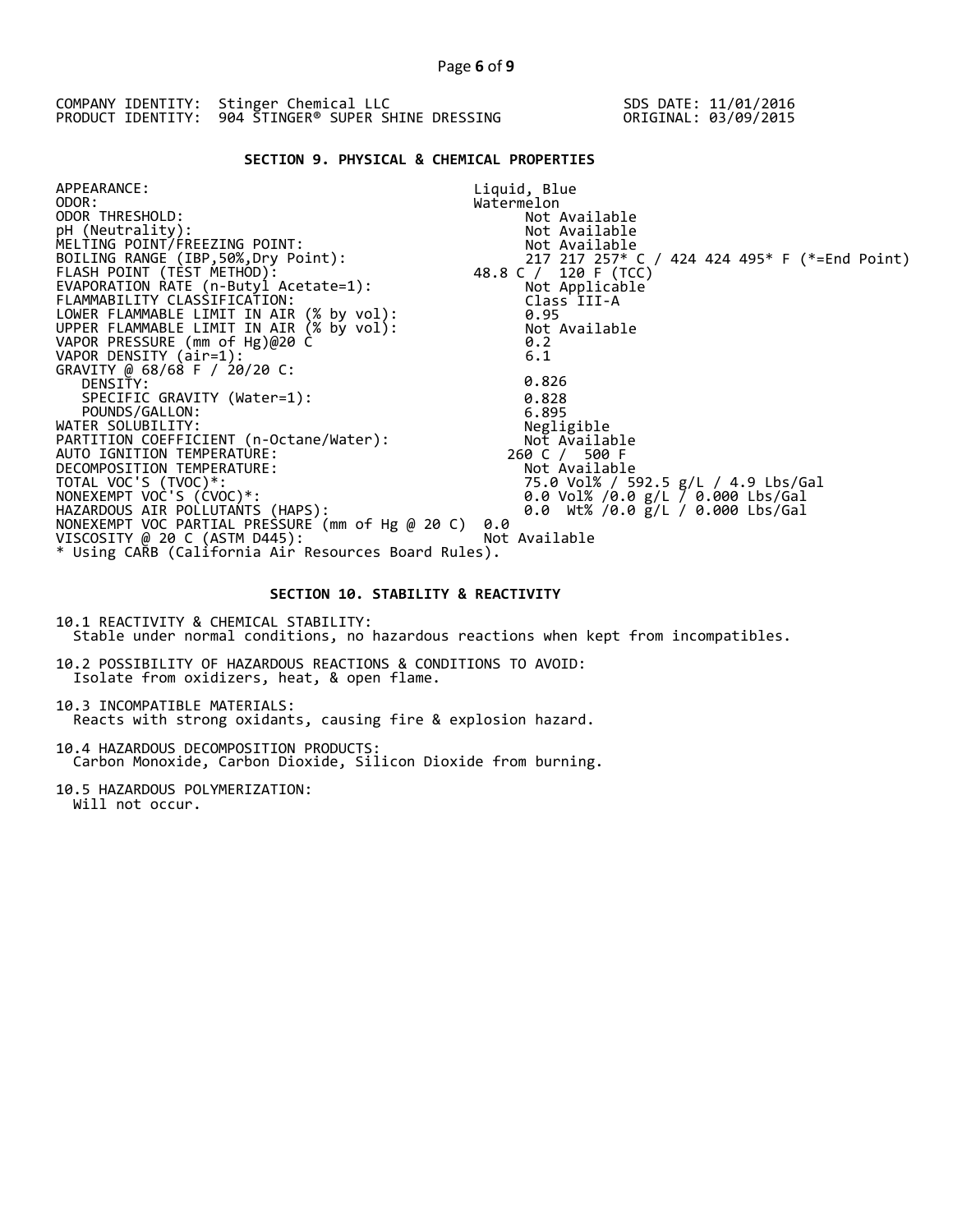| COMPANY IDENTITY: Stinger Chemical LLC              | SDS DATE: 11/01/2016 |
|-----------------------------------------------------|----------------------|
| PRODUCT IDENTITY: 904 STINGER® SUPER SHINE DRESSING | ORIGINAL: 03/09/2015 |

# **SECTION 9. PHYSICAL & CHEMICAL PROPERTIES**

| APPEARANCE:                                            | Liquid, Blue                                  |
|--------------------------------------------------------|-----------------------------------------------|
| ODOR:                                                  | Watermelon                                    |
| ODOR THRESHOLD:                                        | Not Available                                 |
| pH (Neutrality):                                       | Not Available                                 |
| MELTING POINT/FREEZING POINT:                          | Not Available                                 |
| BOILING RANGE (IBP, 50%, Dry Point):                   | 217 217 257* C / 424 424 495* F (*=End Point) |
| FLASH POINT (TÈST METHOD):                             | 48.8 C / 120 F (TCC)                          |
| EVAPORATION RATE (n-Butyl Acetate=1):                  | Not Applicable                                |
| FLAMMABILITY CLASSIFICATION:                           | Class III-A                                   |
| LOWER FLAMMABLE LIMIT IN AIR (% by vol):               | 0.95                                          |
| UPPER FLAMMABLE LIMIT IN AIR (% by vol):               | Not Available                                 |
| VAPOR PRESSURE (mm of Hg)@20 C                         | 0.2                                           |
| VAPOR DENSITY (air=1):<br>GRAVITY @ 68/68 F / 20/20 C: | 6.1                                           |
| DENSITY:                                               | 0.826                                         |
| SPECIFIC GRAVITY (Water=1):                            | 0.828                                         |
| POUNDS/GALLON:                                         | 6.895                                         |
| WATER SOLUBILITY:                                      | Negligible                                    |
| PARTITION COEFFICIENT (n-Octane/Water):                | Not Available                                 |
| AUTO IGNITION TEMPERATURE:                             | 260 C / 500 F                                 |
| DECOMPOSITION TEMPERATURE:                             | Not Available                                 |
| TOTAL VOC'S (TVOC)*:                                   | 75.0 Vol% / 592.5 g/L / 4.9 Lbs/Gal           |
| NONEXEMPT VOC'S (CVOC)*:                               | 0.0 Vol% /0.0 g/L / 0.000 Lbs/Gal             |
| HAZARDOUS AIR POLLUTANTS (HAPS):                       | 0.0 Wt% /0.0 $g/L$ / 0.000 Lbs/Gal            |
| NONEXEMPT VOC PARTIAL PRESSURE (mm of Hg @ 20 C)       | 0.0                                           |
| VISCOSITY @ 20 C (ASTM D445):                          | Not Available                                 |
| * Using CARB (California Air Resources Board Rules).   |                                               |

# **SECTION 10. STABILITY & REACTIVITY**

10.1 REACTIVITY & CHEMICAL STABILITY: Stable under normal conditions, no hazardous reactions when kept from incompatibles.

10.2 POSSIBILITY OF HAZARDOUS REACTIONS & CONDITIONS TO AVOID: Isolate from oxidizers, heat, & open flame.

10.3 INCOMPATIBLE MATERIALS: Reacts with strong oxidants, causing fire & explosion hazard.

10.4 HAZARDOUS DECOMPOSITION PRODUCTS: Carbon Monoxide, Carbon Dioxide, Silicon Dioxide from burning.

10.5 HAZARDOUS POLYMERIZATION: Will not occur.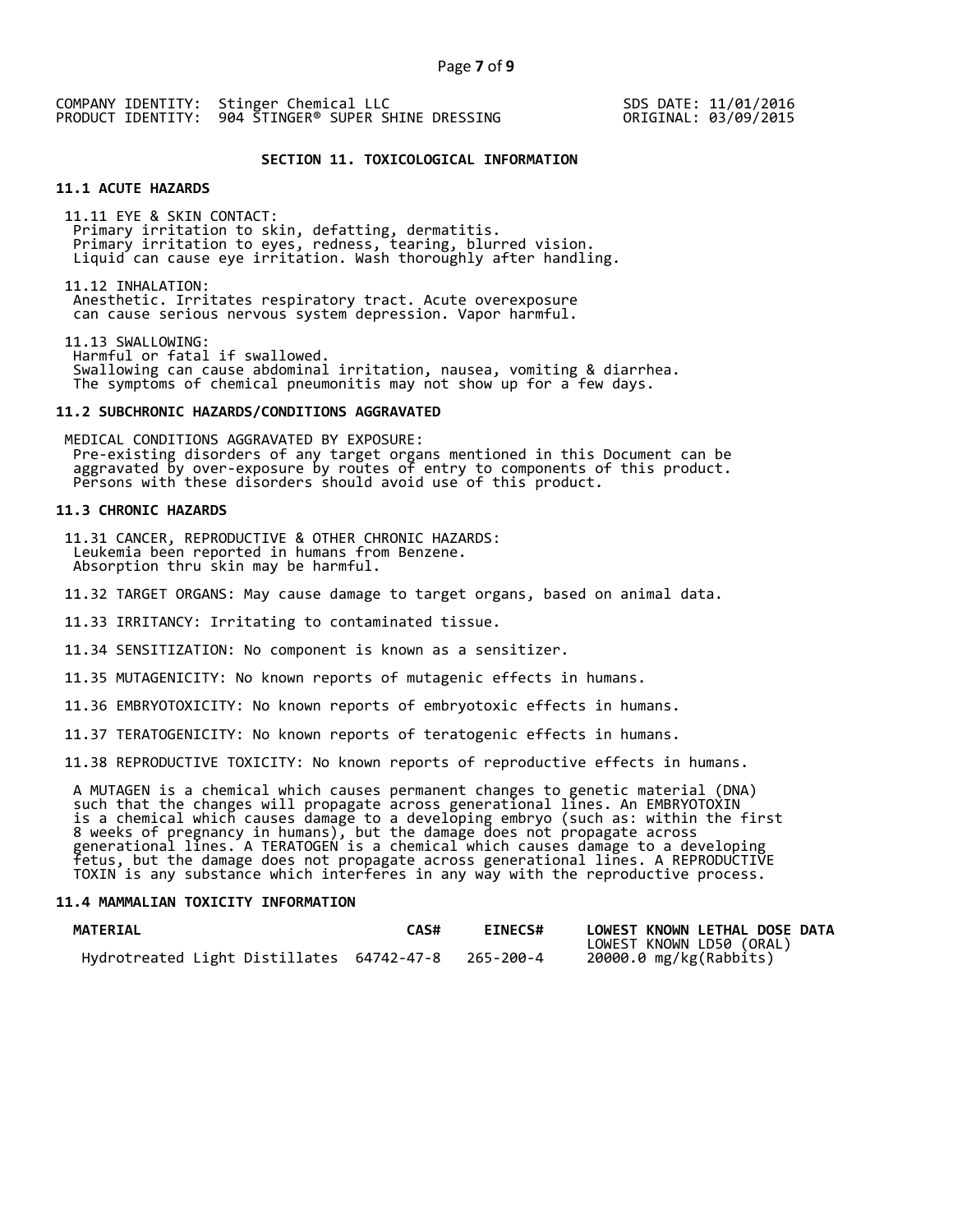SDS DATE: 11/01/2016 ORIGINAL: 03/09/2015

# **SECTION 11. TOXICOLOGICAL INFORMATION**

# **11.1 ACUTE HAZARDS**

11.11 EYE & SKIN CONTACT: Primary irritation to skin, defatting, dermatitis.<br>Primary irritation to eyes, redness, tearing, blurred vision.<br>Liquid can cause eye irritation. Wash thoroughly after handling.

11.12 INHALATION: Anesthetic. Irritates respiratory tract. Acute overexposure can cause serious nervous system depression. Vapor harmful.

11.13 SWALLOWING: Swallowing can cause abdominal irritation, nausea, vomiting & diarrhea.<br>The symptoms of chemical pneumonitis may not show up for a few days.

#### **11.2 SUBCHRONIC HAZARDS/CONDITIONS AGGRAVATED**

MEDICAL CONDITIONS AGGRAVATED BY EXPOSURE: Pre-existing disorders of any target organs mentioned in this Document can be aggravated by over-exposure by routes of entry to components of this product. Persons with these disorders should avoid use of this product.

# **11.3 CHRONIC HAZARDS**

11.31 CANCER, REPRODUCTIVE & OTHER CHRONIC HAZARDS: Leukemia been reported in humans from Benzene. Absorption thru skin may be harmful.

11.32 TARGET ORGANS: May cause damage to target organs, based on animal data.

11.33 IRRITANCY: Irritating to contaminated tissue.

11.34 SENSITIZATION: No component is known as a sensitizer.

11.35 MUTAGENICITY: No known reports of mutagenic effects in humans.

11.36 EMBRYOTOXICITY: No known reports of embryotoxic effects in humans.

11.37 TERATOGENICITY: No known reports of teratogenic effects in humans.

11.38 REPRODUCTIVE TOXICITY: No known reports of reproductive effects in humans.

A MUTAGEN is a chemical which causes permanent changes to genetic material (DNA)<br>such that the changes will propagate across generational lines. An EMBRYOTOXIN<br>is a chemical which causes damage to a developing embryo (such

#### **11.4 MAMMALIAN TOXICITY INFORMATION**

| <b>MATERIAL</b>                                     | <b>CAS#</b> | <b>EINECS#</b> | LOWEST KNOWN LETHAL DOSE DATA |
|-----------------------------------------------------|-------------|----------------|-------------------------------|
|                                                     |             |                | LOWEST KNOWN LD50 (ORAL)      |
| Hydrotreated Light Distillates 64742-47-8 265-200-4 |             |                | 20000.0 mg/kg(Rabbits)        |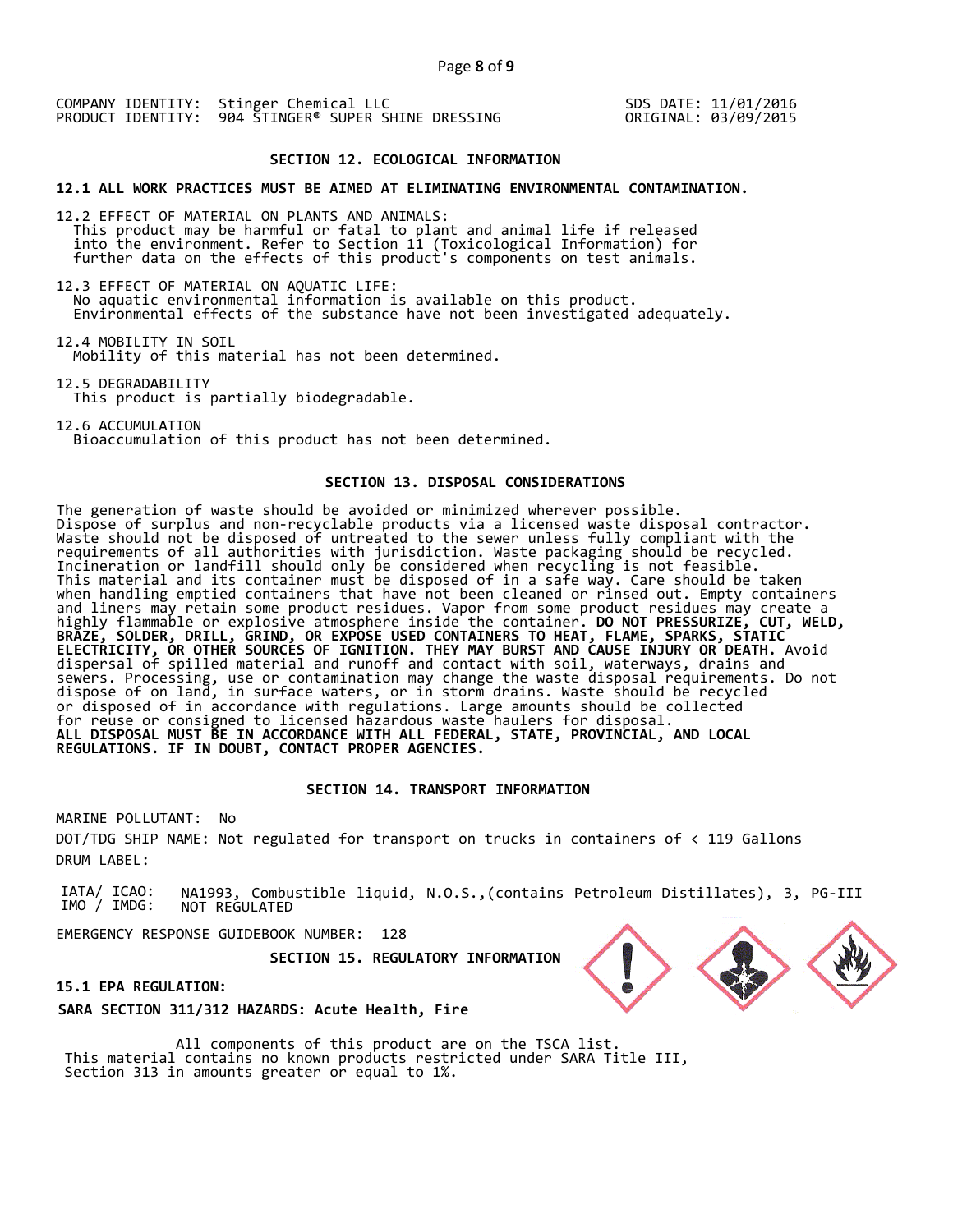SDS DATE: 11/01/2016 ORIGINAL: 03/09/2015

#### **SECTION 12. ECOLOGICAL INFORMATION**

**12.1 ALL WORK PRACTICES MUST BE AIMED AT ELIMINATING ENVIRONMENTAL CONTAMINATION.** 

12.2 EFFECT OF MATERIAL ON PLANTS AND ANIMALS: This product may be harmful or fatal to plant and animal life if released<br>into the environment. Refer to Section 11 (Toxicological Information) for<br>further data on the effects of this product's components on test animals.

12.3 EFFECT OF MATERIAL ON AQUATIC LIFE:<br>No aquatic environmental information is available on this product. Environmental effects of the substance have not been investigated adequately.

12.4 MOBILITY IN SOIL Mobility of this material has not been determined.

12.5 DEGRADABILITY This product is partially biodegradable.

12.6 ACCUMULATION Bioaccumulation of this product has not been determined.

#### **SECTION 13. DISPOSAL CONSIDERATIONS**

The generation of waste should be avoided or minimized wherever possible. Dispose of surplus and non-recyclable products via a licensed waste disposal contractor. Waste should not be disposed of untreated to the sewer unless fully compliant with the requirements of all authorities with jurisdiction. Waste packaging should be recycled. Incineration or landfill should only be considered when recycling is not feasible. This material and its container must be disposed of in a safe way. Care should be taken when handling emptied containers that have not been cleaned or rinsed out. Empty containers and liners may retain some product residues. Vapor from some product residues may create a highly flammable or explosive atmosphere inside the container. **DO NOT PRESSURIZE, CUT, WELD, BRAZE, SOLDER, DRILL, GRIND, OR EXPOSE USED CONTAINERS TO HEAT, FLAME, SPARKS, STATIC ELECTRICITY, OR OTHER SOURCES OF IGNITION. THEY MAY BURST AND CAUSE INJURY OR DEATH.** Avoid dispersal of spilled material and runoff and contact with soil, waterways, drains and sewers. Processing, use or contamination may change the waste disposal requirements. Do not dispose of on land, in surface waters, or in storm drains. Waste should be recycled or disposed of in accordance with regulations. Large amounts should be collected for reuse or consigned to licensed hazardous waste haulers for disposal. **ALL DISPOSAL MUST BE IN ACCORDANCE WITH ALL FEDERAL, STATE, PROVINCIAL, AND LOCAL REGULATIONS. IF IN DOUBT, CONTACT PROPER AGENCIES.** 

#### **SECTION 14. TRANSPORT INFORMATION**

MARINE POLLUTANT: No DOT/TDG SHIP NAME: Not regulated for transport on trucks in containers of < 119 Gallons DRUM LABEL:

IATA/ ICAO: IMO / IMDG: NA1993, Combustible liquid, N.O.S.,(contains Petroleum Distillates), 3, PG-III NOT REGULATED

EMERGENCY RESPONSE GUIDEBOOK NUMBER: 128

 **SECTION 15. REGULATORY INFORMATION** 

#### **15.1 EPA REGULATION:**

**SARA SECTION 311/312 HAZARDS: Acute Health, Fire** 

All components of this product are on the TSCA list. This material contains no known products restricted under SARA Title III, Section 313 in amounts greater or equal to 1%.